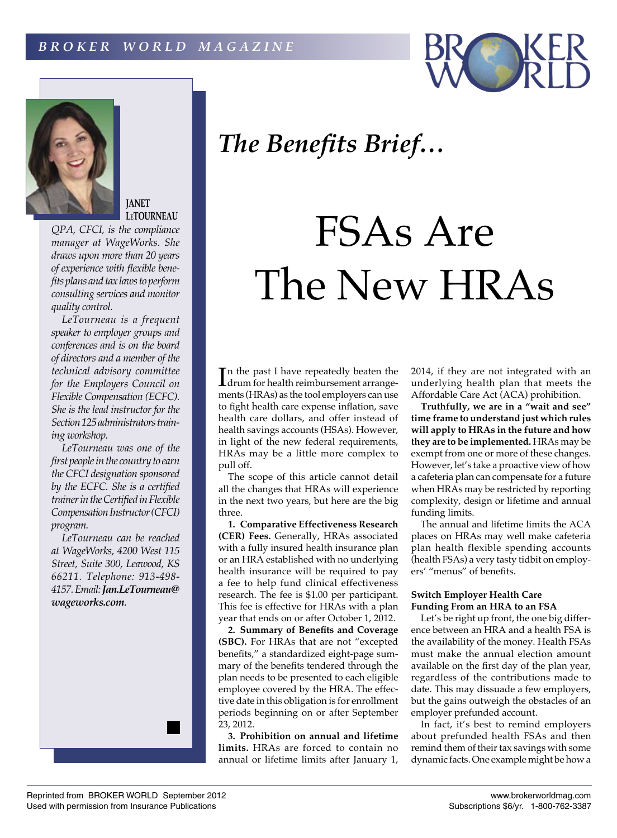



**JANET LeTOURNEAU**

*QPA, CFCI, is the compliance manager at WageWorks. She draws upon more than 20 years of experience with flexible benefits plans and tax laws to perform consulting services and monitor quality control.*

*LeTourneau is a frequent speaker to employer groups and conferences and is on the board of directors and a member of the technical advisory committee for the Employers Council on Flexible Compensation (ECFC). She is the lead instructor for the Section 125 administrators training workshop.*

*LeTourneau was one of the first people in the country to earn the CFCI designation sponsored by the ECFC. She is a certified trainer in the Certified in Flexible Compensation Instructor (CFCI) program.*

*LeTourneau can be reached at WageWorks, 4200 West 115 Street, Suite 300, Leawood, KS 66211. Telephone: 913-498- 4157. Email: Jan.LeTourneau@ wageworks.com.*



## FSAs Are The New HRAs

In the past I have repeatedly beaten the<br>drum for health reimbursement arrangedrum for health reimbursement arrangements (HRAs) as the tool employers can use to fight health care expense inflation, save health care dollars, and offer instead of health savings accounts (HSAs). However, in light of the new federal requirements, HRAs may be a little more complex to pull off.

The scope of this article cannot detail all the changes that HRAs will experience in the next two years, but here are the big three.

**1. Comparative Effectiveness Research (CER) Fees.** Generally, HRAs associated with a fully insured health insurance plan or an HRA established with no underlying health insurance will be required to pay a fee to help fund clinical effectiveness research. The fee is \$1.00 per participant. This fee is effective for HRAs with a plan year that ends on or after October 1, 2012.

**2. Summary of Benefits and Coverage (SBC).** For HRAs that are not "excepted benefits," a standardized eight-page summary of the benefits tendered through the plan needs to be presented to each eligible employee covered by the HRA. The effective date in this obligation is for enrollment periods beginning on or after September 23, 2012.

**3. Prohibition on annual and lifetime limits.** HRAs are forced to contain no annual or lifetime limits after January 1, 2014, if they are not integrated with an underlying health plan that meets the Affordable Care Act (ACA) prohibition.

**Truthfully, we are in a "wait and see" time frame to understand just which rules will apply to HRAs in the future and how they are to be implemented.** HRAs may be exempt from one or more of these changes. However, let's take a proactive view of how a cafeteria plan can compensate for a future when HRAs may be restricted by reporting complexity, design or lifetime and annual funding limits.

The annual and lifetime limits the ACA places on HRAs may well make cafeteria plan health flexible spending accounts (health FSAs) a very tasty tidbit on employers' "menus" of benefits.

## **Switch Employer Health Care Funding From an HRA to an FSA**

Let's be right up front, the one big difference between an HRA and a health FSA is the availability of the money. Health FSAs must make the annual election amount available on the first day of the plan year, regardless of the contributions made to date. This may dissuade a few employers, but the gains outweigh the obstacles of an employer prefunded account.

In fact, it's best to remind employers about prefunded health FSAs and then remind them of their tax savings with some dynamic facts. One example might be how a